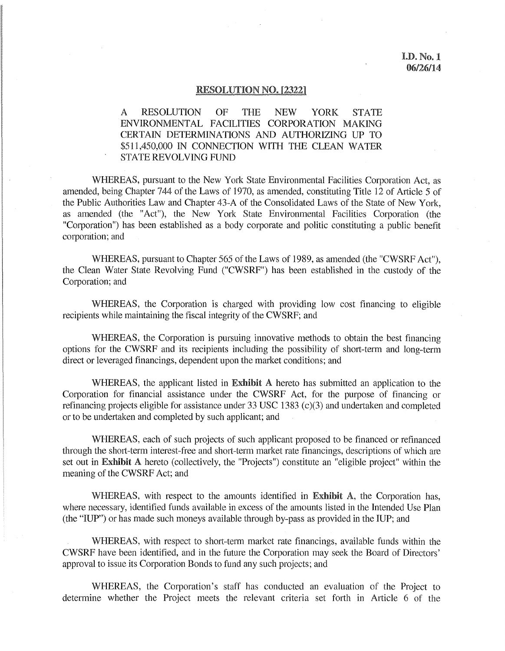#### RESOLUTION NO. [2322]

# A RESOLUTION OF THE NEW YORK STATE ENVIRONMENTAL FACILITIES CORPORATION MAKING CERTAIN DETERMINATIONS AND AUTHORIZING UP TO \$511,450,000 IN CONNECTION WITH THE CLEAN WATER STATE REVOLVING FUND

WHEREAS, pursuant to the New York State Environmental Facilities Corporation Act, as amended, being Chapter 744 of the Laws of 1970, as amended, constituting Title 12 of Article 5 of the Public Authorities Law and Chapter 43-A of the Consolidated Laws of the State of New York, as amended (the "Act"), the New York State Environmental Facilities Corporation (the "Corporation") has been established as a body corporate and politic constituting a public benefit corporation; and

WHEREAS, pursuant to Chapter 565 of the Laws of 1989, as amended (the "CWSRF Act"), the Clean Water State Revolving Fund ("CWSRF") has been established in the custody of the Corporation; and

WHEREAS, the Corporation is charged with providing low cost financing to eligible recipients while maintaining the fiscal integrity of the CWSRF; and

WHEREAS, the Corporation is pursuing innovative methods to obtain the best financing options for the CWSRF and its recipients including the possibility of short-term and long-term direct or leveraged financings, dependent upon the market conditions; and

WHEREAS, the applicant listed in Exhibit A hereto has submitted an application to the Corporation for financial assistance under the CWSRF Act, for the purpose of financing or refinancing projects eligible for assistance under 33 USC 1383 (c)(3) and undertaken and completed or to be undertaken and completed by such applicant; and

WHEREAS, each of such projects of such applicant proposed to be financed or refinanced through the short-term interest-free and short-term market rate financings, descriptions of which are set out in Exhibit A hereto (collectively, the "Projects") constitute an "eligible project" within the meaning of the CWSRF Act; and

WHEREAS, with respect to the amounts identified in Exhibit A, the Corporation has, where necessary, identified funds available in excess of the amounts listed in the Intended Use Plan (the "IUP") or has made such moneys available through by-pass as provided in the IUP; and

WHEREAS, with respect to short-term market rate financings, available funds within the CWSRF have been identified, and in the future the Corporation may seek the Board of Directors' approval to issue its Corporation Bonds to fund any such projects; and

WHEREAS, the Corporation's staff has conducted an evaluation of the Project to determine whether the Project meets the relevant criteria set forth in Article 6 of the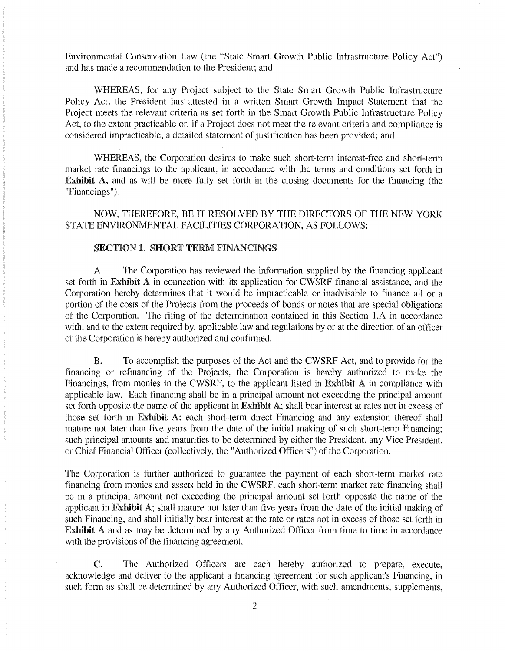Environmental Conservation Law (the "State Smart Growth Public Infrastructure Policy Act") and has made a recommendation to the President; and

WHEREAS, for any Project subject to the State Smart Growth Public Infrastructure Policy Act, the President has attested in a written Smart Growth Impact Statement that the Project meets the relevant criteria as set forth in the Smart Growth Public Infrastructure Policy Act, to the extent practicable or, if a Project does not meet the relevant criteria and compliance is considered impracticable, a detailed statement of justification has been provided; and

WHEREAS, the Corporation desires to make such short-term interest-free and short-term market rate financings to the applicant, in accordance with the terms and conditions set forth in Exhibit A, and as will be more fully set fotth in the closing documents for the financing (the "Financings").

NOW, THEREFORE, BE IT RESOLVED BY THE DIRECTORS OF THE NEW YORK STATE ENVIRONMENTAL FACILITIES CORPORATION, AS FOLLOWS:

## SECTION 1. SHORT TERM FINANCINGS

A. The Corporation has reviewed the information supplied by the financing applicant set forth in Exhibit A in connection with its application for CWSRF financial assistance, and the Corporation hereby determines that it would be impracticable or inadvisable to finance all or a portion of the costs of the Projects from the proceeds of bonds or notes that are special obligations of the Corporation. The filing of the determination contained in this Section l .A in accordance with, and to the extent required by, applicable law and regulations by or at the direction of an officer of the Corporation is hereby authorized and confirmed.

B. To accomplish the purposes of the Act and the CWSRF Act, and to provide for the financing or refinancing of the Projects, the Corporation is hereby authorized to make the Financings, from monies in the CWSRF, to the applicant listed in Exhibit A in compliance with applicable law. Each financing shall be in a principal amount not exceeding the principal amount set forth opposite the name of the applicant in **Exhibit A**; shall bear interest at rates not in excess of those set forth in Exhibit A; each short-term direct Financing and any extension thereof shall mature not later than five years from the date of the initial making of such short-term Financing; such principal amounts and maturities to be determined by either the President, any Vice President, or Chief Financial Officer (collectively, the "Authorized Officers") of the Corporation.

The Corporation is further authorized to guarantee the payment of each short-term market rate financing from monies and assets held in the CWSRF, each short-term market rate financing shall be in a principal amount not exceeding the principal amount set forth opposite the name of the applicant in Exhibit A; shall mature not later than five years from the date of the initial making of such Financing, and shall initially bear interest at the rate or rates not in excess of those set forth in Exhibit A and as may be determined by any Authorized Officer from time to time in accordance with the provisions of the financing agreement.

C. The Authorized Officers are each hereby authorized to prepare, execute, acknowledge and deliver to the applicant a financing agreement for such applicant's Financing, in such form as shall be determined by any Authorized Officer, with such amendments, supplements,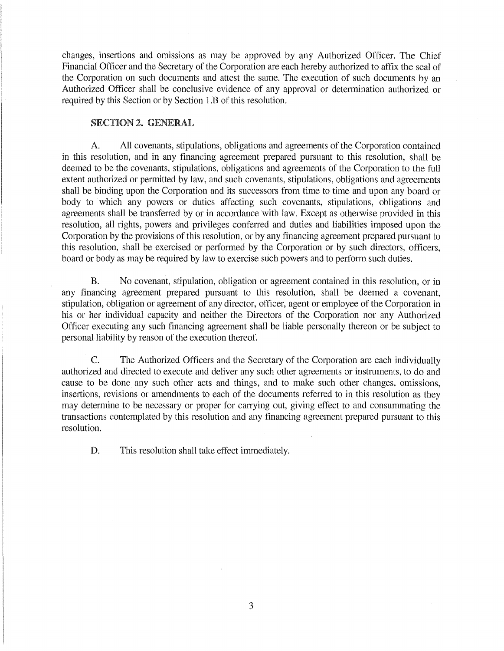changes, insertions and omissions as may be approved by any Authorized Officer. The Chief Financial Officer and the Secretary of the Corporation are each hereby authorized to affix the seal of the Corporation on such documents and attest the same. The execution of such documents by an Authorized Officer shall be conclusive evidence of any approval or determination authorized or required by this Section or by Section l .B of this resolution.

## SECTION 2. GENERAL

A. All covenants, stipulations, obligations and agreements of the Corporation contained in this resolution, and in any financing agreement prepared pursuant to this resolution, shall be deemed to be the covenants, stipulations, obligations and agreements of the Corporation to the full extent authorized or permitted by law, and such covenants, stipulations, obligations and agreements shall be binding upon the Corporation and its successors from time to time and upon any board or body to which any powers or duties affecting such covenants, stipulations, obligations and agreements shall be transferred by or in accordance with law. Except as otherwise provided in this resolution, all rights, powers and privileges conferred and duties and liabilities imposed upon the Corporation by the provisions of this resolution, or by any financing agreement prepared pursuant to this resolution, shall be exercised or performed by the Corporation or by such directors, officers, board or body as may be required by law to exercise such powers and to perform such duties.

B. No covenant, stipulation, obligation or agreement contained in this resolution, or in any financing agreement prepared pursuant to this resolution, shall be deemed a covenant, stipulation, obligation or agreement of any director, officer, agent or employee of the Corporation in his or her individual capacity and neither the Directors of the Corporation nor any Authorized Officer executing any such financing agreement shall be liable personally thereon or be subject to personal liability by reason of the execution thereof.

C. The Authorized Officers and the Secretary of the Corporation are each individually authorized and directed to execute and deliver any such other agreements or instruments, to do and cause to be done any such other acts and things, and to make such other changes, omissions, insertions, revisions or amendments to each of the documents referred to in this resolution as they may determine to be necessary or proper for carrying out, giving effect to and consummating the transactions contemplated by this resolution and any financing agreement prepared pursuant to this resolution.

D. This resolution shall take effect immediately.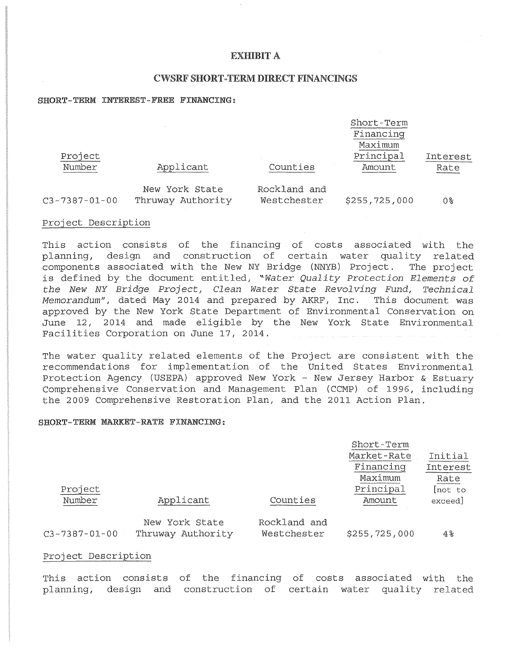## EXHIBIT A

## CWSRF SHORT-TERM DIRECT FINANCINGS

### SHORT-TERM INTEREST-FREE FINANCING:

|                       |                                     |                             | Short-Term<br>Financing<br>Maximum |                  |
|-----------------------|-------------------------------------|-----------------------------|------------------------------------|------------------|
| Project<br>Number     | Applicant                           | Counties                    | Principal<br>Amount                | Interest<br>Rate |
| $C3 - 7387 - 01 - 00$ | New York State<br>Thruway Authority | Rockland and<br>Westchester | \$255,725,000                      | 0%               |

### Project Description

This action consists of the financing of costs associated with the planning, design and construction of certain water quality related components associated with the New NY Bridge (NNYB) Project. The project is defined by the document entitled, "Water Quality Protection Elements of the New NY Bridge Project, Clean Water State Revolving Fund, Technical Memorandum", dated May 2014 and prepared by AKRF, Inc. This document was approved by the New York State Department of Environmental Conservation on June 12, 2014 and made eligible by the New York State Environmental Facilities Corporation on June 17, 2014.

The water quality related elements of the Project are consistent with the recommendations for implementation of the United States Environmental Protection Agency (USEPA) approved New York - New Jersey Harbor & Estuary Comprehensive Conservation and Management Plan (CCMP) of 1996, including the 2009 Comprehensive Restoration Plan, and the 2011 Action Plan.

#### SHORT-TERM MARKET-RATE FINANCING:

|                       |                   |              | Short-Term    |            |  |
|-----------------------|-------------------|--------------|---------------|------------|--|
|                       |                   |              | Market-Rate   | Initial    |  |
|                       |                   |              | Financing     | Interest   |  |
|                       |                   |              | Maximum       | Rate       |  |
| Project               |                   |              | Principal     | [not to    |  |
| Number                | Applicant         | Counties     | Amount        | exceed]    |  |
|                       | New York State    | Rockland and |               |            |  |
| $C3 - 7387 - 01 - 00$ | Thruway Authority | Westchester  | \$255,725,000 | $4\,$ $\,$ |  |

### Project Description

This action consists of the financing of costs associated with the planning, design and construction of certain water quality related